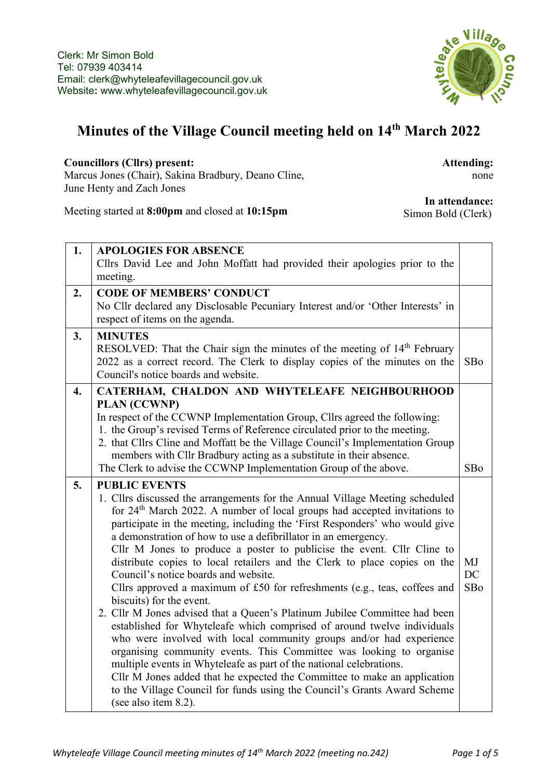

## **Minutes of the Village Council meeting held on 14th March 2022**

## **Councillors (Cllrs) present:**

Marcus Jones (Chair), Sakina Bradbury, Deano Cline, June Henty and Zach Jones

**Attending:** none

Meeting started at **8:00pm** and closed at **10:15pm**

**In attendance:** Simon Bold (Clerk)

| 1. | <b>APOLOGIES FOR ABSENCE</b>                                                                                                                          |     |
|----|-------------------------------------------------------------------------------------------------------------------------------------------------------|-----|
|    | Cllrs David Lee and John Moffatt had provided their apologies prior to the                                                                            |     |
|    | meeting.                                                                                                                                              |     |
| 2. | <b>CODE OF MEMBERS' CONDUCT</b>                                                                                                                       |     |
|    | No Cllr declared any Disclosable Pecuniary Interest and/or 'Other Interests' in                                                                       |     |
|    | respect of items on the agenda.                                                                                                                       |     |
| 3. | <b>MINUTES</b>                                                                                                                                        |     |
|    | RESOLVED: That the Chair sign the minutes of the meeting of 14 <sup>th</sup> February                                                                 |     |
|    | 2022 as a correct record. The Clerk to display copies of the minutes on the                                                                           | SBo |
|    | Council's notice boards and website.                                                                                                                  |     |
| 4. | CATERHAM, CHALDON AND WHYTELEAFE NEIGHBOURHOOD                                                                                                        |     |
|    | <b>PLAN (CCWNP)</b>                                                                                                                                   |     |
|    | In respect of the CCWNP Implementation Group, Cllrs agreed the following:                                                                             |     |
|    | 1. the Group's revised Terms of Reference circulated prior to the meeting.                                                                            |     |
|    | 2. that Cllrs Cline and Moffatt be the Village Council's Implementation Group                                                                         |     |
|    | members with Cllr Bradbury acting as a substitute in their absence.                                                                                   |     |
|    | The Clerk to advise the CCWNP Implementation Group of the above.                                                                                      | SBo |
|    |                                                                                                                                                       |     |
| 5. | <b>PUBLIC EVENTS</b>                                                                                                                                  |     |
|    | 1. Cllrs discussed the arrangements for the Annual Village Meeting scheduled                                                                          |     |
|    | for 24 <sup>th</sup> March 2022. A number of local groups had accepted invitations to                                                                 |     |
|    | participate in the meeting, including the 'First Responders' who would give                                                                           |     |
|    | a demonstration of how to use a defibrillator in an emergency.                                                                                        |     |
|    | Cllr M Jones to produce a poster to publicise the event. Cllr Cline to                                                                                |     |
|    | distribute copies to local retailers and the Clerk to place copies on the                                                                             | MJ  |
|    | Council's notice boards and website.                                                                                                                  | DC  |
|    | Cllrs approved a maximum of £50 for refreshments (e.g., teas, coffees and                                                                             | SBo |
|    | biscuits) for the event.                                                                                                                              |     |
|    | 2. Cllr M Jones advised that a Queen's Platinum Jubilee Committee had been<br>established for Whyteleafe which comprised of around twelve individuals |     |
|    | who were involved with local community groups and/or had experience                                                                                   |     |
|    | organising community events. This Committee was looking to organise                                                                                   |     |
|    | multiple events in Whyteleafe as part of the national celebrations.                                                                                   |     |
|    | Cllr M Jones added that he expected the Committee to make an application                                                                              |     |
|    | to the Village Council for funds using the Council's Grants Award Scheme<br>(see also item 8.2).                                                      |     |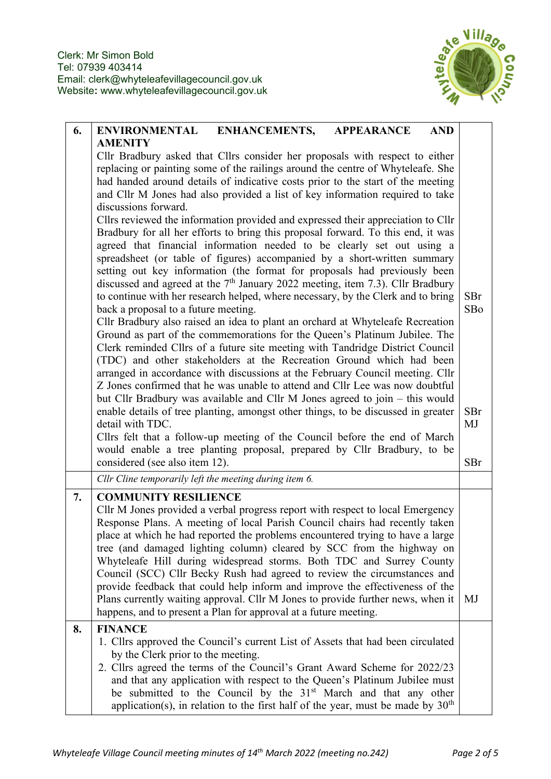

| 6. | <b>ENVIRONMENTAL</b><br><b>ENHANCEMENTS,</b><br><b>APPEARANCE</b><br><b>AND</b>                                                                                                                                                                                                                                                                                                                                                                                                                                                                                                                                                                                                                                                                                                                                                                                                                                                                                                                                                                                                                                                                                                                                                                                                                                                                                                                                                                                                                                                                                                                                                                                                                                                                                           |     |  |  |
|----|---------------------------------------------------------------------------------------------------------------------------------------------------------------------------------------------------------------------------------------------------------------------------------------------------------------------------------------------------------------------------------------------------------------------------------------------------------------------------------------------------------------------------------------------------------------------------------------------------------------------------------------------------------------------------------------------------------------------------------------------------------------------------------------------------------------------------------------------------------------------------------------------------------------------------------------------------------------------------------------------------------------------------------------------------------------------------------------------------------------------------------------------------------------------------------------------------------------------------------------------------------------------------------------------------------------------------------------------------------------------------------------------------------------------------------------------------------------------------------------------------------------------------------------------------------------------------------------------------------------------------------------------------------------------------------------------------------------------------------------------------------------------------|-----|--|--|
|    | <b>AMENITY</b><br>Cllr Bradbury asked that Cllrs consider her proposals with respect to either<br>replacing or painting some of the railings around the centre of Whyteleafe. She<br>had handed around details of indicative costs prior to the start of the meeting<br>and Cllr M Jones had also provided a list of key information required to take<br>discussions forward.<br>Cllrs reviewed the information provided and expressed their appreciation to Cllr<br>Bradbury for all her efforts to bring this proposal forward. To this end, it was<br>agreed that financial information needed to be clearly set out using a<br>spreadsheet (or table of figures) accompanied by a short-written summary<br>setting out key information (the format for proposals had previously been<br>discussed and agreed at the $7th$ January 2022 meeting, item 7.3). Cllr Bradbury<br>to continue with her research helped, where necessary, by the Clerk and to bring<br>back a proposal to a future meeting.<br>Cllr Bradbury also raised an idea to plant an orchard at Whyteleafe Recreation<br>Ground as part of the commemorations for the Queen's Platinum Jubilee. The<br>Clerk reminded Cllrs of a future site meeting with Tandridge District Council<br>(TDC) and other stakeholders at the Recreation Ground which had been<br>arranged in accordance with discussions at the February Council meeting. Cllr<br>Z Jones confirmed that he was unable to attend and Cllr Lee was now doubtful<br>but Cllr Bradbury was available and Cllr M Jones agreed to join – this would<br>enable details of tree planting, amongst other things, to be discussed in greater<br>detail with TDC.<br>Cllrs felt that a follow-up meeting of the Council before the end of March |     |  |  |
|    | would enable a tree planting proposal, prepared by Cllr Bradbury, to be<br>considered (see also item 12).                                                                                                                                                                                                                                                                                                                                                                                                                                                                                                                                                                                                                                                                                                                                                                                                                                                                                                                                                                                                                                                                                                                                                                                                                                                                                                                                                                                                                                                                                                                                                                                                                                                                 | SBr |  |  |
|    | Cllr Cline temporarily left the meeting during item 6.                                                                                                                                                                                                                                                                                                                                                                                                                                                                                                                                                                                                                                                                                                                                                                                                                                                                                                                                                                                                                                                                                                                                                                                                                                                                                                                                                                                                                                                                                                                                                                                                                                                                                                                    |     |  |  |
| 7. | <b>COMMUNITY RESILIENCE</b><br>Cllr M Jones provided a verbal progress report with respect to local Emergency<br>Response Plans. A meeting of local Parish Council chairs had recently taken<br>place at which he had reported the problems encountered trying to have a large<br>tree (and damaged lighting column) cleared by SCC from the highway on<br>Whyteleafe Hill during widespread storms. Both TDC and Surrey County<br>Council (SCC) Cllr Becky Rush had agreed to review the circumstances and<br>provide feedback that could help inform and improve the effectiveness of the<br>Plans currently waiting approval. Cllr M Jones to provide further news, when it<br>happens, and to present a Plan for approval at a future meeting.                                                                                                                                                                                                                                                                                                                                                                                                                                                                                                                                                                                                                                                                                                                                                                                                                                                                                                                                                                                                                        | MJ  |  |  |
| 8. | <b>FINANCE</b><br>1. Cllrs approved the Council's current List of Assets that had been circulated<br>by the Clerk prior to the meeting.<br>2. Cllrs agreed the terms of the Council's Grant Award Scheme for 2022/23<br>and that any application with respect to the Queen's Platinum Jubilee must<br>be submitted to the Council by the 31 <sup>st</sup> March and that any other<br>application(s), in relation to the first half of the year, must be made by $30th$                                                                                                                                                                                                                                                                                                                                                                                                                                                                                                                                                                                                                                                                                                                                                                                                                                                                                                                                                                                                                                                                                                                                                                                                                                                                                                   |     |  |  |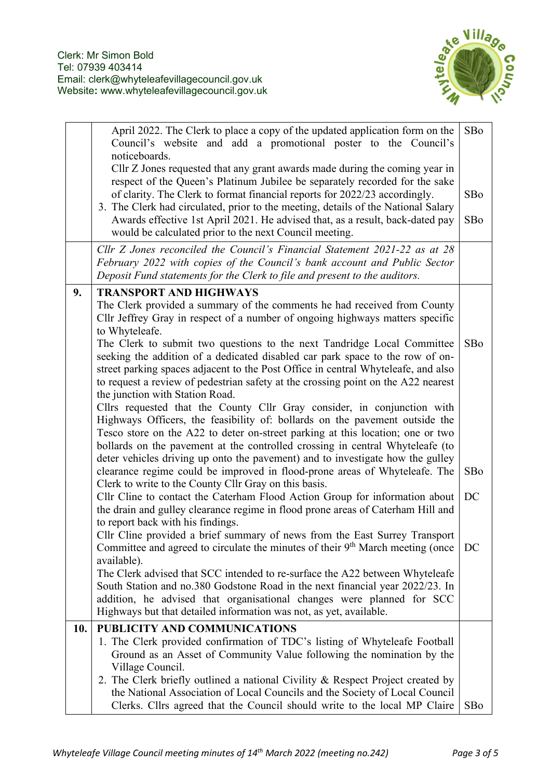

|     | April 2022. The Clerk to place a copy of the updated application form on the<br>Council's website and add a promotional poster to the Council's<br>noticeboards.                                                                                                                                                                                                                                            | SBo |  |  |  |  |
|-----|-------------------------------------------------------------------------------------------------------------------------------------------------------------------------------------------------------------------------------------------------------------------------------------------------------------------------------------------------------------------------------------------------------------|-----|--|--|--|--|
|     | Cllr Z Jones requested that any grant awards made during the coming year in                                                                                                                                                                                                                                                                                                                                 |     |  |  |  |  |
|     | respect of the Queen's Platinum Jubilee be separately recorded for the sake<br>of clarity. The Clerk to format financial reports for 2022/23 accordingly.                                                                                                                                                                                                                                                   |     |  |  |  |  |
|     | 3. The Clerk had circulated, prior to the meeting, details of the National Salary<br>Awards effective 1st April 2021. He advised that, as a result, back-dated pay<br>would be calculated prior to the next Council meeting.                                                                                                                                                                                |     |  |  |  |  |
|     | Cllr Z Jones reconciled the Council's Financial Statement 2021-22 as at 28                                                                                                                                                                                                                                                                                                                                  |     |  |  |  |  |
|     | February 2022 with copies of the Council's bank account and Public Sector                                                                                                                                                                                                                                                                                                                                   |     |  |  |  |  |
|     | Deposit Fund statements for the Clerk to file and present to the auditors.                                                                                                                                                                                                                                                                                                                                  |     |  |  |  |  |
| 9.  | <b>TRANSPORT AND HIGHWAYS</b>                                                                                                                                                                                                                                                                                                                                                                               |     |  |  |  |  |
|     | The Clerk provided a summary of the comments he had received from County<br>Cllr Jeffrey Gray in respect of a number of ongoing highways matters specific<br>to Whyteleafe.                                                                                                                                                                                                                                 |     |  |  |  |  |
|     | The Clerk to submit two questions to the next Tandridge Local Committee<br>seeking the addition of a dedicated disabled car park space to the row of on-<br>street parking spaces adjacent to the Post Office in central Whyteleafe, and also<br>to request a review of pedestrian safety at the crossing point on the A22 nearest<br>the junction with Station Road.                                       | SBo |  |  |  |  |
|     | Cllrs requested that the County Cllr Gray consider, in conjunction with<br>Highways Officers, the feasibility of: bollards on the pavement outside the<br>Tesco store on the A22 to deter on-street parking at this location; one or two<br>bollards on the pavement at the controlled crossing in central Whyteleafe (to<br>deter vehicles driving up onto the pavement) and to investigate how the gulley |     |  |  |  |  |
|     | clearance regime could be improved in flood-prone areas of Whyteleafe. The<br>Clerk to write to the County Cllr Gray on this basis.                                                                                                                                                                                                                                                                         | SBo |  |  |  |  |
|     | Cllr Cline to contact the Caterham Flood Action Group for information about<br>the drain and gulley clearance regime in flood prone areas of Caterham Hill and<br>to report back with his findings.                                                                                                                                                                                                         | DC  |  |  |  |  |
|     | Cllr Cline provided a brief summary of news from the East Surrey Transport                                                                                                                                                                                                                                                                                                                                  |     |  |  |  |  |
|     | Committee and agreed to circulate the minutes of their $9th$ March meeting (once<br>available).                                                                                                                                                                                                                                                                                                             | DC  |  |  |  |  |
|     | The Clerk advised that SCC intended to re-surface the A22 between Whyteleafe                                                                                                                                                                                                                                                                                                                                |     |  |  |  |  |
|     | South Station and no.380 Godstone Road in the next financial year 2022/23. In                                                                                                                                                                                                                                                                                                                               |     |  |  |  |  |
|     | addition, he advised that organisational changes were planned for SCC<br>Highways but that detailed information was not, as yet, available.                                                                                                                                                                                                                                                                 |     |  |  |  |  |
| 10. | PUBLICITY AND COMMUNICATIONS                                                                                                                                                                                                                                                                                                                                                                                |     |  |  |  |  |
|     | 1. The Clerk provided confirmation of TDC's listing of Whyteleafe Football<br>Ground as an Asset of Community Value following the nomination by the<br>Village Council.                                                                                                                                                                                                                                     |     |  |  |  |  |
|     | 2. The Clerk briefly outlined a national Civility & Respect Project created by<br>the National Association of Local Councils and the Society of Local Council<br>Clerks. Cllrs agreed that the Council should write to the local MP Claire                                                                                                                                                                  | SBo |  |  |  |  |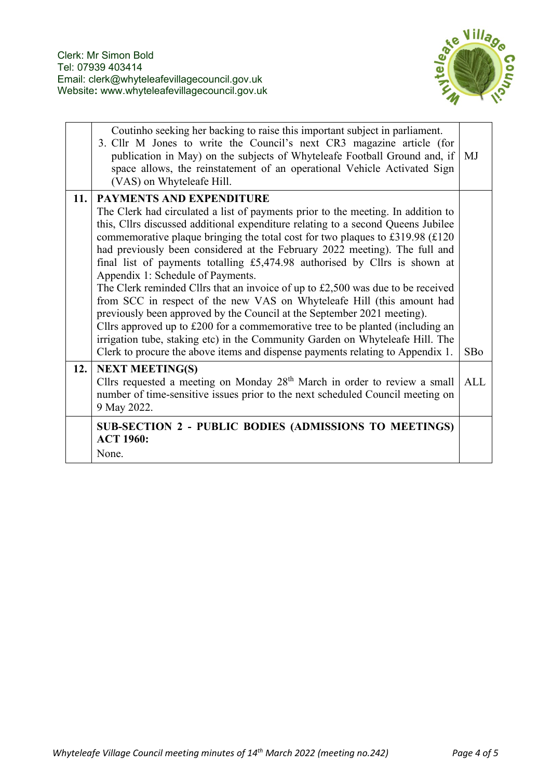

|     | Coutinho seeking her backing to raise this important subject in parliament.<br>3. Cllr M Jones to write the Council's next CR3 magazine article (for<br>publication in May) on the subjects of Whyteleafe Football Ground and, if<br>space allows, the reinstatement of an operational Vehicle Activated Sign<br>(VAS) on Whyteleafe Hill.                                                                                                                                                                                                                                                                                                                                                                                                                                                                                                                                                                                                                                               | MJ         |
|-----|------------------------------------------------------------------------------------------------------------------------------------------------------------------------------------------------------------------------------------------------------------------------------------------------------------------------------------------------------------------------------------------------------------------------------------------------------------------------------------------------------------------------------------------------------------------------------------------------------------------------------------------------------------------------------------------------------------------------------------------------------------------------------------------------------------------------------------------------------------------------------------------------------------------------------------------------------------------------------------------|------------|
| 11. | <b>PAYMENTS AND EXPENDITURE</b><br>The Clerk had circulated a list of payments prior to the meeting. In addition to<br>this, Cllrs discussed additional expenditure relating to a second Queens Jubilee<br>commemorative plaque bringing the total cost for two plaques to £319.98 $(£120$<br>had previously been considered at the February 2022 meeting). The full and<br>final list of payments totalling £5,474.98 authorised by Cllrs is shown at<br>Appendix 1: Schedule of Payments.<br>The Clerk reminded Cllrs that an invoice of up to £2,500 was due to be received<br>from SCC in respect of the new VAS on Whyteleafe Hill (this amount had<br>previously been approved by the Council at the September 2021 meeting).<br>Cllrs approved up to £200 for a commemorative tree to be planted (including an<br>irrigation tube, staking etc) in the Community Garden on Whyteleafe Hill. The<br>Clerk to procure the above items and dispense payments relating to Appendix 1. | SBo        |
| 12. | <b>NEXT MEETING(S)</b><br>Cllrs requested a meeting on Monday $28th$ March in order to review a small<br>number of time-sensitive issues prior to the next scheduled Council meeting on<br>9 May 2022.                                                                                                                                                                                                                                                                                                                                                                                                                                                                                                                                                                                                                                                                                                                                                                                   | <b>ALL</b> |
|     | SUB-SECTION 2 - PUBLIC BODIES (ADMISSIONS TO MEETINGS)<br><b>ACT 1960:</b><br>None.                                                                                                                                                                                                                                                                                                                                                                                                                                                                                                                                                                                                                                                                                                                                                                                                                                                                                                      |            |